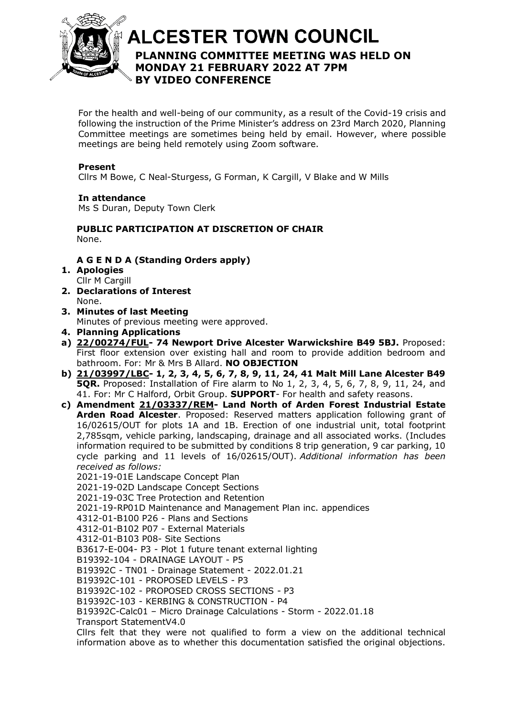

# **ALCESTER TOWN COUNCIL PLANNING COMMITTEE MEETING WAS HELD ON**  At the discretion of the Chair **MONDAY 21 FEBRUARY 2022 AT 7PM BY VIDEO CONFERENCE**

For the health and well-being of our community, as a result of the Covid-19 crisis and following the instruction of the Prime Minister's address on 23rd March 2020, Planning Committee meetings are sometimes being held by email. However, where possible meetings are being held remotely using Zoom software.

# **Present**

Cllrs M Bowe, C Neal-Sturgess, G Forman, K Cargill, V Blake and W Mills

**In attendance** Ms S Duran, Deputy Town Clerk

## **PUBLIC PARTICIPATION AT DISCRETION OF CHAIR** None.

# **A G E N D A (Standing Orders apply)**

- **1. Apologies** Cllr M Cargill
- **2. Declarations of Interest** None.
- **3. Minutes of last Meeting** Minutes of previous meeting were approved.
- **4. Planning Applications**
- **a) [22/00274/FUL-](https://apps.stratford.gov.uk/eplanning/AppDetail.aspx?appkey=R6KS7FPMM6C00) 74 Newport Drive Alcester Warwickshire B49 5BJ.** Proposed: First floor extension over existing hall and room to provide addition bedroom and bathroom. For: Mr & Mrs B Allard. **NO OBJECTION**
- **b) [21/03997/LBC-](https://apps.stratford.gov.uk/eplanning/AppDetail.aspx?appkey=R4952JPMMAW00) 1, 2, 3, 4, 5, 6, 7, 8, 9, 11, 24, 41 Malt Mill Lane Alcester B49 5QR.** Proposed: Installation of Fire alarm to No 1, 2, 3, 4, 5, 6, 7, 8, 9, 11, 24, and 41. For: Mr C Halford, Orbit Group. **SUPPORT**- For health and safety reasons.
- **c) Amendment [21/03337/REM-](https://apps.stratford.gov.uk/eplanning/AppDetail.aspx?appkey=R16HTSPMFP200) Land North of Arden Forest Industrial Estate Arden Road Alcester**. Proposed: Reserved matters application following grant of 16/02615/OUT for plots 1A and 1B. Erection of one industrial unit, total footprint 2,785sqm, vehicle parking, landscaping, drainage and all associated works. (Includes information required to be submitted by conditions 8 trip generation, 9 car parking, 10 cycle parking and 11 levels of 16/02615/OUT). *Additional information has been received as follows:*

2021-19-01E Landscape Concept Plan

2021-19-02D Landscape Concept Sections

2021-19-03C Tree Protection and Retention

2021-19-RP01D Maintenance and Management Plan inc. appendices

4312-01-B100 P26 - Plans and Sections

4312-01-B102 P07 - External Materials

4312-01-B103 P08- Site Sections

B3617-E-004- P3 - Plot 1 future tenant external lighting

B19392-104 - DRAINAGE LAYOUT - P5

B19392C - TN01 - Drainage Statement - 2022.01.21

B19392C-101 - PROPOSED LEVELS - P3

B19392C-102 - PROPOSED CROSS SECTIONS - P3

B19392C-103 - KERBING & CONSTRUCTION - P4

B19392C-Calc01 – Micro Drainage Calculations - Storm - 2022.01.18

Transport StatementV4.0

Cllrs felt that they were not qualified to form a view on the additional technical information above as to whether this documentation satisfied the original objections.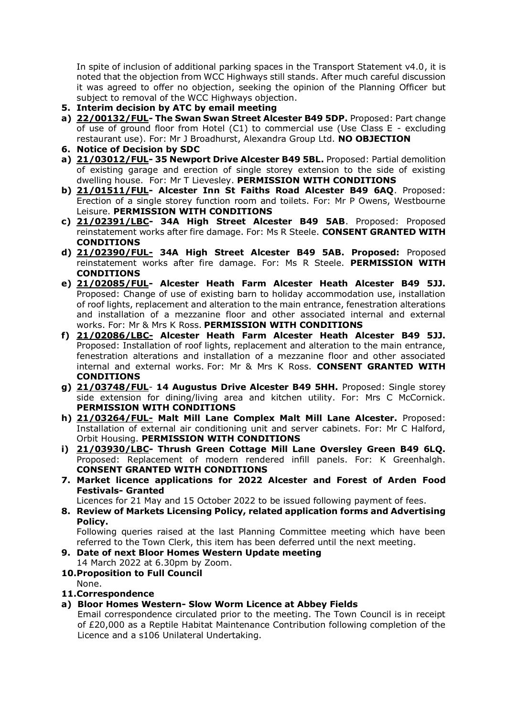In spite of inclusion of additional parking spaces in the Transport Statement v4.0, it is noted that the objection from WCC Highways still stands. After much careful discussion it was agreed to offer no objection, seeking the opinion of the Planning Officer but subject to removal of the WCC Highways objection.

- **5. Interim decision by ATC by email meeting**
- **a) [22/00132/FUL-](https://apps.stratford.gov.uk/eplanning/AppDetail.aspx?appkey=R5PDM6PMG3800) The Swan Swan Street Alcester B49 5DP.** Proposed: Part change of use of ground floor from Hotel (C1) to commercial use (Use Class E - excluding restaurant use). For: Mr J Broadhurst, Alexandra Group Ltd. **NO OBJECTION**
- **6. Notice of Decision by SDC**
- **a) [21/03012/FUL-](https://apps.stratford.gov.uk/eplanning/AppDetail.aspx?appkey=QZQ0USPMIT600) 35 Newport Drive Alcester B49 5BL.** Proposed: Partial demolition of existing garage and erection of single storey extension to the side of existing dwelling house. For: Mr T Lievesley. **PERMISSION WITH CONDITIONS**
- **b) [21/01511/FUL-](https://apps.stratford.gov.uk/eplanning/AppDetail.aspx?appkey=QSMMEYPMK3U00) Alcester Inn St Faiths Road Alcester B49 6AQ**. Proposed: Erection of a single storey function room and toilets. For: Mr P Owens, Westbourne Leisure. **PERMISSION WITH CONDITIONS**
- **c) [21/02391/LBC-](https://apps.stratford.gov.uk/eplanning/AppDetail.aspx?appkey=QWUBJWPMLU500) 34A High Street Alcester B49 5AB**. Proposed: Proposed reinstatement works after fire damage. For: Ms R Steele. **CONSENT GRANTED WITH CONDITIONS**
- **d) [21/02390/FUL-](https://apps.stratford.gov.uk/eplanning/AppDetail.aspx?appkey=QWUBJUPMLU400) 34A High Street Alcester B49 5AB. Proposed:** Proposed reinstatement works after fire damage. For: Ms R Steele. **PERMISSION WITH CONDITIONS**
- **e) [21/02085/FUL-](https://apps.stratford.gov.uk/eplanning/AppDetail.aspx?appkey=QV8ZN1PM0IH00) Alcester Heath Farm Alcester Heath Alcester B49 5JJ.** Proposed: Change of use of existing barn to holiday accommodation use, installation of roof lights, replacement and alteration to the main entrance, fenestration alterations and installation of a mezzanine floor and other associated internal and external works. For: Mr & Mrs K Ross. **PERMISSION WITH CONDITIONS**
- **f) [21/02086/LBC-](https://apps.stratford.gov.uk/eplanning/AppDetail.aspx?appkey=QV91U9PM0IH00) Alcester Heath Farm Alcester Heath Alcester B49 5JJ.**  Proposed: Installation of roof lights, replacement and alteration to the main entrance, fenestration alterations and installation of a mezzanine floor and other associated internal and external works. For: Mr & Mrs K Ross. **CONSENT GRANTED WITH CONDITIONS**
- **g) [21/03748/FUL](https://apps.stratford.gov.uk/eplanning/AppDetail.aspx?appkey=R34BMWPMM2O00) 14 Augustus Drive Alcester B49 5HH.** Proposed: Single storey side extension for dining/living area and kitchen utility. For: Mrs C McCornick. **PERMISSION WITH CONDITIONS**
- **h) [21/03264/FUL-](https://apps.stratford.gov.uk/eplanning/AppDetail.aspx?appkey=R0V5F1PMJO100) Malt Mill Lane Complex Malt Mill Lane Alcester.** Proposed: Installation of external air conditioning unit and server cabinets. For: Mr C Halford, Orbit Housing. **PERMISSION WITH CONDITIONS**
- **i) [21/03930/LBC-](https://apps.stratford.gov.uk/eplanning/AppDetail.aspx?appkey=R41YSUPMKV600) Thrush Green Cottage Mill Lane Oversley Green B49 6LQ.** Proposed: Replacement of modern rendered infill panels. For: K Greenhalgh. **CONSENT GRANTED WITH CONDITIONS**
- **7. Market licence applications for 2022 Alcester and Forest of Arden Food Festivals- Granted**

Licences for 21 May and 15 October 2022 to be issued following payment of fees.

**8. Review of Markets Licensing Policy, related application forms and Advertising Policy.** 

Following queries raised at the last Planning Committee meeting which have been referred to the Town Clerk, this item has been deferred until the next meeting.

- **9. Date of next Bloor Homes Western Update meeting** 14 March 2022 at 6.30pm by Zoom.
- **10.Proposition to Full Council**

None.

- **11.Correspondence**
- **a) Bloor Homes Western- Slow Worm Licence at Abbey Fields**

Email correspondence circulated prior to the meeting. The Town Council is in receipt of £20,000 as a Reptile Habitat Maintenance Contribution following completion of the Licence and a s106 Unilateral Undertaking.